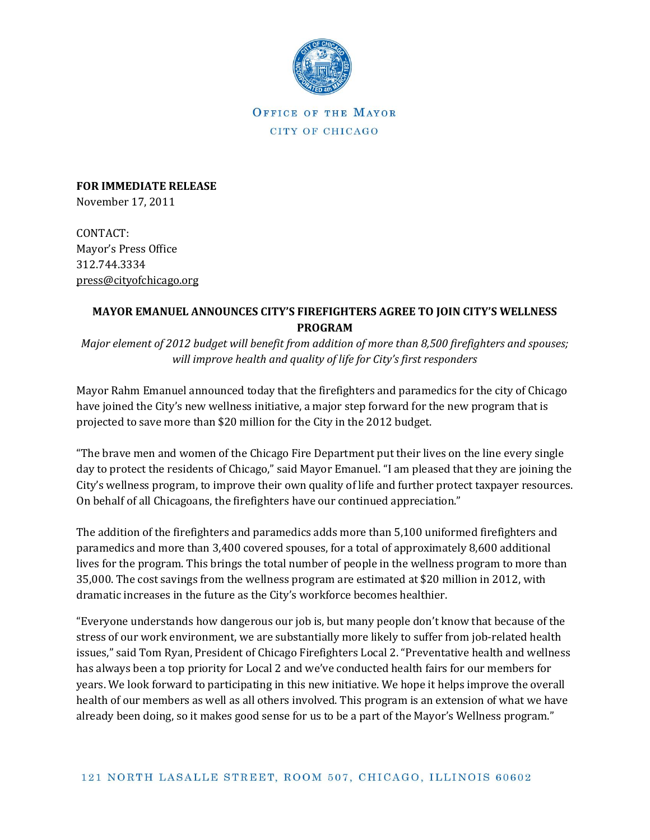

OFFICE OF THE MAYOR CITY OF CHICAGO

**FOR IMMEDIATE RELEASE** November 17, 2011

CONTACT: Mayor's Press Office 312.744.3334 [press@cityofchicago.org](mailto:press@cityofchicago.org)

## **MAYOR EMANUEL ANNOUNCES CITY'S FIREFIGHTERS AGREE TO JOIN CITY'S WELLNESS PROGRAM**

*Major element of 2012 budget will benefit from addition of more than 8,500 firefighters and spouses; will improve health and quality of life for City's first responders*

Mayor Rahm Emanuel announced today that the firefighters and paramedics for the city of Chicago have joined the City's new wellness initiative, a major step forward for the new program that is projected to save more than \$20 million for the City in the 2012 budget.

"The brave men and women of the Chicago Fire Department put their lives on the line every single day to protect the residents of Chicago," said Mayor Emanuel. "I am pleased that they are joining the City's wellness program, to improve their own quality of life and further protect taxpayer resources. On behalf of all Chicagoans, the firefighters have our continued appreciation."

The addition of the firefighters and paramedics adds more than 5,100 uniformed firefighters and paramedics and more than 3,400 covered spouses, for a total of approximately 8,600 additional lives for the program. This brings the total number of people in the wellness program to more than 35,000. The cost savings from the wellness program are estimated at \$20 million in 2012, with dramatic increases in the future as the City's workforce becomes healthier.

"Everyone understands how dangerous our job is, but many people don't know that because of the stress of our work environment, we are substantially more likely to suffer from job-related health issues," said Tom Ryan, President of Chicago Firefighters Local 2. "Preventative health and wellness has always been a top priority for Local 2 and we've conducted health fairs for our members for years. We look forward to participating in this new initiative. We hope it helps improve the overall health of our members as well as all others involved. This program is an extension of what we have already been doing, so it makes good sense for us to be a part of the Mayor's Wellness program."